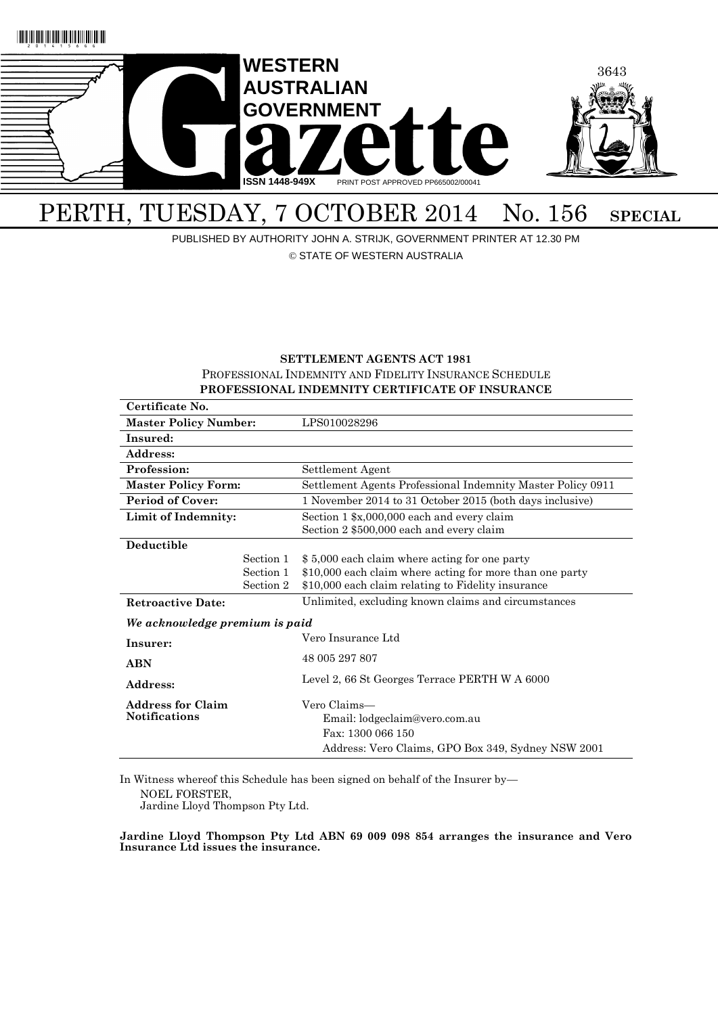

# PERTH, TUESDAY, 7 OCTOBER 2014 No. 156 SPECIAL

PUBLISHED BY AUTHORITY JOHN A. STRIJK, GOVERNMENT PRINTER AT 12.30 PM

© STATE OF WESTERN AUSTRALIA

# **SETTLEMENT AGENTS ACT 1981** PROFESSIONAL INDEMNITY AND FIDELITY INSURANCE SCHEDULE **PROFESSIONAL INDEMNITY CERTIFICATE OF INSURANCE**

| Certificate No.                |           |                                                             |  |
|--------------------------------|-----------|-------------------------------------------------------------|--|
| <b>Master Policy Number:</b>   |           | LPS010028296                                                |  |
| Insured:                       |           |                                                             |  |
| Address:                       |           |                                                             |  |
| Profession:                    |           | Settlement Agent                                            |  |
| <b>Master Policy Form:</b>     |           | Settlement Agents Professional Indemnity Master Policy 0911 |  |
| <b>Period of Cover:</b>        |           | 1 November 2014 to 31 October 2015 (both days inclusive)    |  |
| Limit of Indemnity:            |           | Section 1 \$x,000,000 each and every claim                  |  |
|                                |           | Section 2 \$500,000 each and every claim                    |  |
| <b>Deductible</b>              |           |                                                             |  |
|                                | Section 1 | \$5,000 each claim where acting for one party               |  |
|                                | Section 1 | \$10,000 each claim where acting for more than one party    |  |
|                                | Section 2 | \$10,000 each claim relating to Fidelity insurance          |  |
| <b>Retroactive Date:</b>       |           | Unlimited, excluding known claims and circumstances         |  |
| We acknowledge premium is paid |           |                                                             |  |
| Insurer:                       |           | Vero Insurance Ltd                                          |  |
| <b>ABN</b>                     |           | 48 005 297 807                                              |  |
| Address:                       |           | Level 2, 66 St Georges Terrace PERTH W A 6000               |  |
|                                |           |                                                             |  |
| <b>Address for Claim</b>       |           | Vero Claims—                                                |  |
| <b>Notifications</b>           |           | Email: lodgeclaim@vero.com.au                               |  |
|                                |           | Fax: 1300 066 150                                           |  |
|                                |           | Address: Vero Claims, GPO Box 349, Sydney NSW 2001          |  |

In Witness whereof this Schedule has been signed on behalf of the Insurer by— NOEL FORSTER, Jardine Lloyd Thompson Pty Ltd.

**Jardine Lloyd Thompson Pty Ltd ABN 69 009 098 854 arranges the insurance and Vero Insurance Ltd issues the insurance.**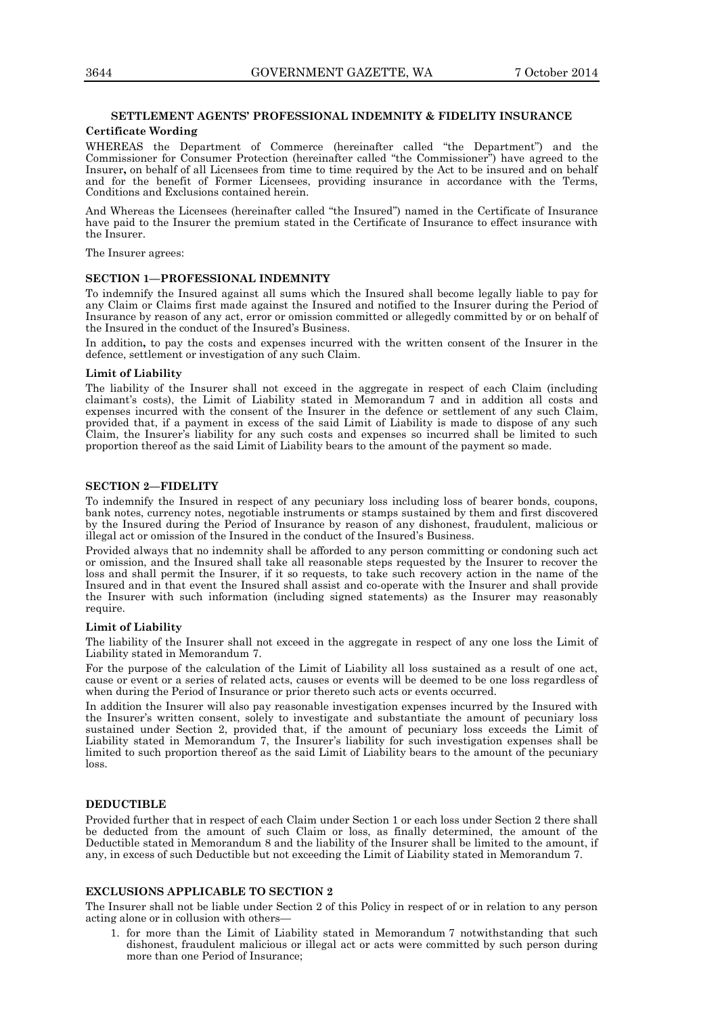## **SETTLEMENT AGENTS' PROFESSIONAL INDEMNITY & FIDELITY INSURANCE**

## **Certificate Wording**

WHEREAS the Department of Commerce (hereinafter called "the Department") and the Commissioner for Consumer Protection (hereinafter called "the Commissioner") have agreed to the Insurer**,** on behalf of all Licensees from time to time required by the Act to be insured and on behalf and for the benefit of Former Licensees, providing insurance in accordance with the Terms, Conditions and Exclusions contained herein.

And Whereas the Licensees (hereinafter called "the Insured") named in the Certificate of Insurance have paid to the Insurer the premium stated in the Certificate of Insurance to effect insurance with the Insurer.

The Insurer agrees:

## **SECTION 1—PROFESSIONAL INDEMNITY**

To indemnify the Insured against all sums which the Insured shall become legally liable to pay for any Claim or Claims first made against the Insured and notified to the Insurer during the Period of Insurance by reason of any act, error or omission committed or allegedly committed by or on behalf of the Insured in the conduct of the Insured's Business.

In addition**,** to pay the costs and expenses incurred with the written consent of the Insurer in the defence, settlement or investigation of any such Claim.

#### **Limit of Liability**

The liability of the Insurer shall not exceed in the aggregate in respect of each Claim (including claimant's costs), the Limit of Liability stated in Memorandum 7 and in addition all costs and expenses incurred with the consent of the Insurer in the defence or settlement of any such Claim, provided that, if a payment in excess of the said Limit of Liability is made to dispose of any such Claim, the Insurer's liability for any such costs and expenses so incurred shall be limited to such proportion thereof as the said Limit of Liability bears to the amount of the payment so made.

## **SECTION 2—FIDELITY**

To indemnify the Insured in respect of any pecuniary loss including loss of bearer bonds, coupons, bank notes, currency notes, negotiable instruments or stamps sustained by them and first discovered by the Insured during the Period of Insurance by reason of any dishonest, fraudulent, malicious or illegal act or omission of the Insured in the conduct of the Insured's Business.

Provided always that no indemnity shall be afforded to any person committing or condoning such act or omission, and the Insured shall take all reasonable steps requested by the Insurer to recover the loss and shall permit the Insurer, if it so requests, to take such recovery action in the name of the Insured and in that event the Insured shall assist and co-operate with the Insurer and shall provide the Insurer with such information (including signed statements) as the Insurer may reasonably require.

## **Limit of Liability**

The liability of the Insurer shall not exceed in the aggregate in respect of any one loss the Limit of Liability stated in Memorandum 7.

For the purpose of the calculation of the Limit of Liability all loss sustained as a result of one act, cause or event or a series of related acts, causes or events will be deemed to be one loss regardless of when during the Period of Insurance or prior thereto such acts or events occurred.

In addition the Insurer will also pay reasonable investigation expenses incurred by the Insured with the Insurer's written consent, solely to investigate and substantiate the amount of pecuniary loss sustained under Section 2, provided that, if the amount of pecuniary loss exceeds the Limit of Liability stated in Memorandum 7, the Insurer's liability for such investigation expenses shall be limited to such proportion thereof as the said Limit of Liability bears to the amount of the pecuniary loss.

## **DEDUCTIBLE**

Provided further that in respect of each Claim under Section 1 or each loss under Section 2 there shall be deducted from the amount of such Claim or loss, as finally determined, the amount of the Deductible stated in Memorandum 8 and the liability of the Insurer shall be limited to the amount, if any, in excess of such Deductible but not exceeding the Limit of Liability stated in Memorandum 7.

## **EXCLUSIONS APPLICABLE TO SECTION 2**

The Insurer shall not be liable under Section 2 of this Policy in respect of or in relation to any person acting alone or in collusion with others—

1. for more than the Limit of Liability stated in Memorandum 7 notwithstanding that such dishonest, fraudulent malicious or illegal act or acts were committed by such person during more than one Period of Insurance;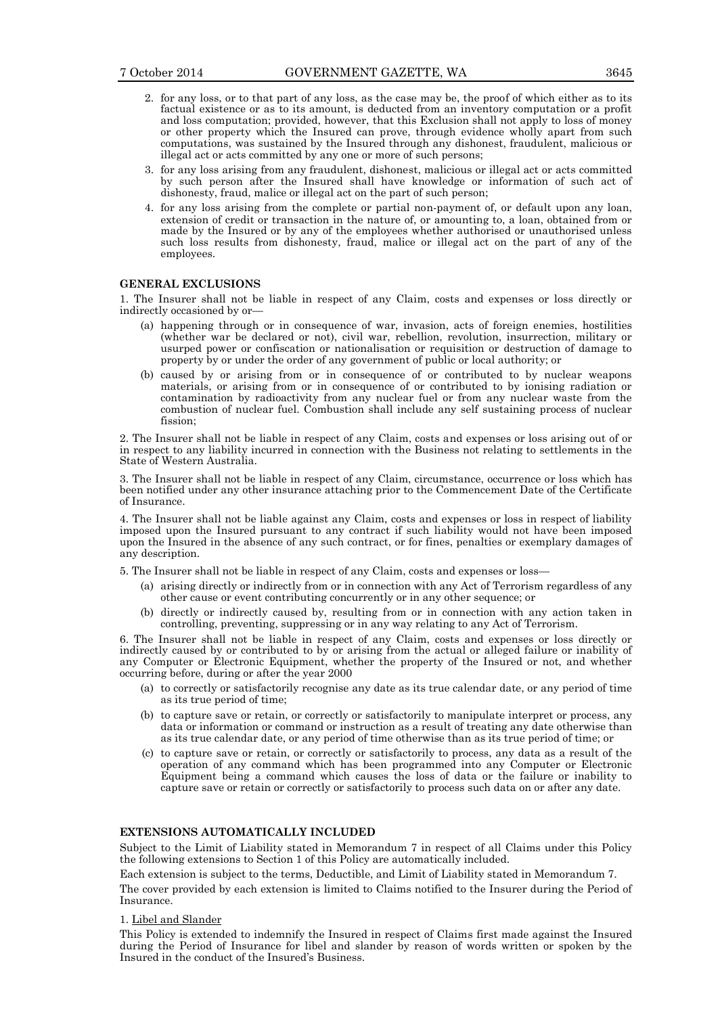- 2. for any loss, or to that part of any loss, as the case may be, the proof of which either as to its factual existence or as to its amount, is deducted from an inventory computation or a profit and loss computation; provided, however, that this Exclusion shall not apply to loss of money or other property which the Insured can prove, through evidence wholly apart from such computations, was sustained by the Insured through any dishonest, fraudulent, malicious or illegal act or acts committed by any one or more of such persons;
- 3. for any loss arising from any fraudulent, dishonest, malicious or illegal act or acts committed by such person after the Insured shall have knowledge or information of such act of dishonesty, fraud, malice or illegal act on the part of such person;
- 4. for any loss arising from the complete or partial non-payment of, or default upon any loan, extension of credit or transaction in the nature of, or amounting to, a loan, obtained from or made by the Insured or by any of the employees whether authorised or unauthorised unless such loss results from dishonesty, fraud, malice or illegal act on the part of any of the employees.

## **GENERAL EXCLUSIONS**

1. The Insurer shall not be liable in respect of any Claim, costs and expenses or loss directly or indirectly occasioned by or—

- (a) happening through or in consequence of war, invasion, acts of foreign enemies, hostilities (whether war be declared or not), civil war, rebellion, revolution, insurrection, military or usurped power or confiscation or nationalisation or requisition or destruction of damage to property by or under the order of any government of public or local authority; or
- (b) caused by or arising from or in consequence of or contributed to by nuclear weapons materials, or arising from or in consequence of or contributed to by ionising radiation or contamination by radioactivity from any nuclear fuel or from any nuclear waste from the combustion of nuclear fuel. Combustion shall include any self sustaining process of nuclear fission;

2. The Insurer shall not be liable in respect of any Claim, costs and expenses or loss arising out of or in respect to any liability incurred in connection with the Business not relating to settlements in the State of Western Australia.

3. The Insurer shall not be liable in respect of any Claim, circumstance, occurrence or loss which has been notified under any other insurance attaching prior to the Commencement Date of the Certificate of Insurance.

4. The Insurer shall not be liable against any Claim, costs and expenses or loss in respect of liability imposed upon the Insured pursuant to any contract if such liability would not have been imposed upon the Insured in the absence of any such contract, or for fines, penalties or exemplary damages of any description.

5. The Insurer shall not be liable in respect of any Claim, costs and expenses or loss—

- (a) arising directly or indirectly from or in connection with any Act of Terrorism regardless of any other cause or event contributing concurrently or in any other sequence; or
- (b) directly or indirectly caused by, resulting from or in connection with any action taken in controlling, preventing, suppressing or in any way relating to any Act of Terrorism.

6. The Insurer shall not be liable in respect of any Claim, costs and expenses or loss directly or indirectly caused by or contributed to by or arising from the actual or alleged failure or inability of any Computer or Electronic Equipment, whether the property of the Insured or not, and whether occurring before, during or after the year 2000

- (a) to correctly or satisfactorily recognise any date as its true calendar date, or any period of time as its true period of time;
- (b) to capture save or retain, or correctly or satisfactorily to manipulate interpret or process, any data or information or command or instruction as a result of treating any date otherwise than as its true calendar date, or any period of time otherwise than as its true period of time; or
- (c) to capture save or retain, or correctly or satisfactorily to process, any data as a result of the operation of any command which has been programmed into any Computer or Electronic Equipment being a command which causes the loss of data or the failure or inability to capture save or retain or correctly or satisfactorily to process such data on or after any date.

## **EXTENSIONS AUTOMATICALLY INCLUDED**

Subject to the Limit of Liability stated in Memorandum 7 in respect of all Claims under this Policy the following extensions to Section 1 of this Policy are automatically included.

Each extension is subject to the terms, Deductible, and Limit of Liability stated in Memorandum 7.

The cover provided by each extension is limited to Claims notified to the Insurer during the Period of Insurance.

#### 1. Libel and Slander

This Policy is extended to indemnify the Insured in respect of Claims first made against the Insured during the Period of Insurance for libel and slander by reason of words written or spoken by the Insured in the conduct of the Insured's Business.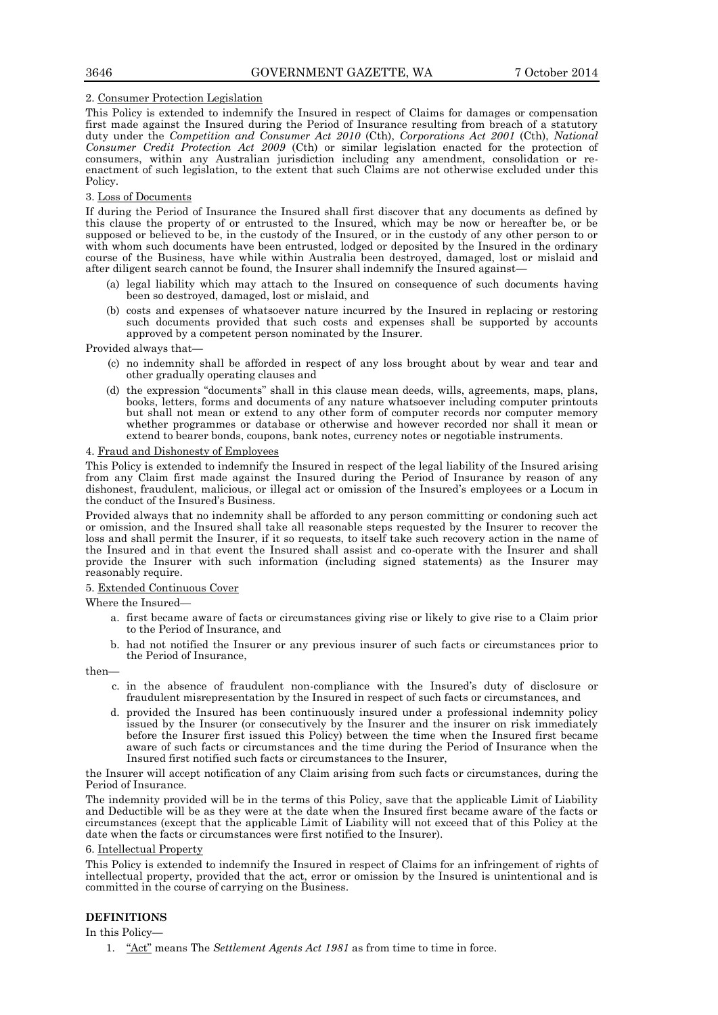## 2. Consumer Protection Legislation

This Policy is extended to indemnify the Insured in respect of Claims for damages or compensation first made against the Insured during the Period of Insurance resulting from breach of a statutory duty under the *Competition and Consumer Act 2010* (Cth), *Corporations Act 2001* (Cth), *National Consumer Credit Protection Act 2009* (Cth) or similar legislation enacted for the protection of consumers, within any Australian jurisdiction including any amendment, consolidation or reenactment of such legislation, to the extent that such Claims are not otherwise excluded under this Policy.

## 3. Loss of Documents

If during the Period of Insurance the Insured shall first discover that any documents as defined by this clause the property of or entrusted to the Insured, which may be now or hereafter be, or be supposed or believed to be, in the custody of the Insured, or in the custody of any other person to or with whom such documents have been entrusted, lodged or deposited by the Insured in the ordinary course of the Business, have while within Australia been destroyed, damaged, lost or mislaid and after diligent search cannot be found, the Insurer shall indemnify the Insured against—

- (a) legal liability which may attach to the Insured on consequence of such documents having been so destroyed, damaged, lost or mislaid, and
- (b) costs and expenses of whatsoever nature incurred by the Insured in replacing or restoring such documents provided that such costs and expenses shall be supported by accounts approved by a competent person nominated by the Insurer.

Provided always that—

- (c) no indemnity shall be afforded in respect of any loss brought about by wear and tear and other gradually operating clauses and
- (d) the expression "documents" shall in this clause mean deeds, wills, agreements, maps, plans, books, letters, forms and documents of any nature whatsoever including computer printouts but shall not mean or extend to any other form of computer records nor computer memory whether programmes or database or otherwise and however recorded nor shall it mean or extend to bearer bonds, coupons, bank notes, currency notes or negotiable instruments.

## 4. Fraud and Dishonesty of Employees

This Policy is extended to indemnify the Insured in respect of the legal liability of the Insured arising from any Claim first made against the Insured during the Period of Insurance by reason of any dishonest, fraudulent, malicious, or illegal act or omission of the Insured's employees or a Locum in the conduct of the Insured's Business.

Provided always that no indemnity shall be afforded to any person committing or condoning such act or omission, and the Insured shall take all reasonable steps requested by the Insurer to recover the loss and shall permit the Insurer, if it so requests, to itself take such recovery action in the name of the Insured and in that event the Insured shall assist and co-operate with the Insurer and shall provide the Insurer with such information (including signed statements) as the Insurer may reasonably require.

## 5. Extended Continuous Cover

Where the Insured—

- a. first became aware of facts or circumstances giving rise or likely to give rise to a Claim prior to the Period of Insurance, and
- b. had not notified the Insurer or any previous insurer of such facts or circumstances prior to the Period of Insurance,

then—

- c. in the absence of fraudulent non-compliance with the Insured's duty of disclosure or fraudulent misrepresentation by the Insured in respect of such facts or circumstances, and
- d. provided the Insured has been continuously insured under a professional indemnity policy issued by the Insurer (or consecutively by the Insurer and the insurer on risk immediately before the Insurer first issued this Policy) between the time when the Insured first became aware of such facts or circumstances and the time during the Period of Insurance when the Insured first notified such facts or circumstances to the Insurer,

the Insurer will accept notification of any Claim arising from such facts or circumstances, during the Period of Insurance.

The indemnity provided will be in the terms of this Policy, save that the applicable Limit of Liability and Deductible will be as they were at the date when the Insured first became aware of the facts or circumstances (except that the applicable Limit of Liability will not exceed that of this Policy at the date when the facts or circumstances were first notified to the Insurer).

# 6. Intellectual Property

This Policy is extended to indemnify the Insured in respect of Claims for an infringement of rights of intellectual property, provided that the act, error or omission by the Insured is unintentional and is committed in the course of carrying on the Business.

# **DEFINITIONS**

In this Policy—

1. "Act" means The *Settlement Agents Act 1981* as from time to time in force.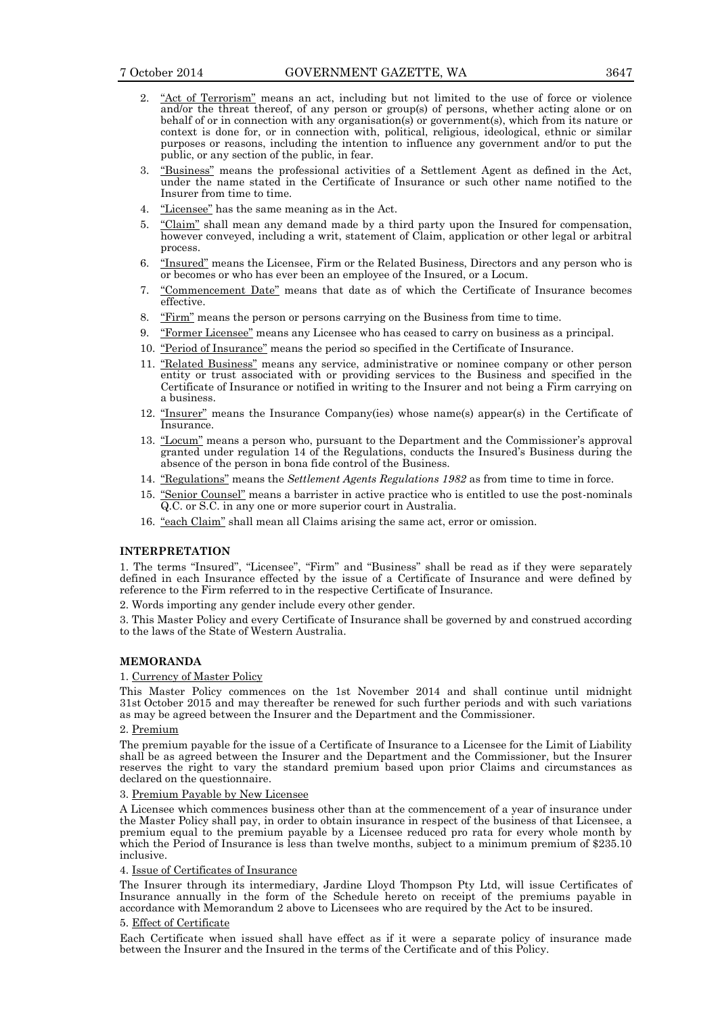- 2. "Act of Terrorism" means an act, including but not limited to the use of force or violence and/or the threat thereof, of any person or group(s) of persons, whether acting alone or on behalf of or in connection with any organisation(s) or government(s), which from its nature or context is done for, or in connection with, political, religious, ideological, ethnic or similar purposes or reasons, including the intention to influence any government and/or to put the public, or any section of the public, in fear.
- 3. "Business" means the professional activities of a Settlement Agent as defined in the Act, under the name stated in the Certificate of Insurance or such other name notified to the Insurer from time to time.
- 4. "Licensee" has the same meaning as in the Act.
- 5. <u>"Claim"</u> shall mean any demand made by a third party upon the Insured for compensation, however conveyed, including a writ, statement of Claim, application or other legal or arbitral process.
- 6. "Insured" means the Licensee, Firm or the Related Business, Directors and any person who is or becomes or who has ever been an employee of the Insured, or a Locum.
- 7. "Commencement Date" means that date as of which the Certificate of Insurance becomes effective.
- 8. "Firm" means the person or persons carrying on the Business from time to time.
- 9. "Former Licensee" means any Licensee who has ceased to carry on business as a principal.
- 10. "Period of Insurance" means the period so specified in the Certificate of Insurance.
- 11. "Related Business" means any service, administrative or nominee company or other person entity or trust associated with or providing services to the Business and specified in the Certificate of Insurance or notified in writing to the Insurer and not being a Firm carrying on a business.
- 12. "Insurer" means the Insurance Company(ies) whose name(s) appear(s) in the Certificate of Insurance.
- 13. "Locum" means a person who, pursuant to the Department and the Commissioner's approval granted under regulation 14 of the Regulations, conducts the Insured's Business during the absence of the person in bona fide control of the Business.
- 14. "Regulations" means the *Settlement Agents Regulations 1982* as from time to time in force.
- 15. "Senior Counsel" means a barrister in active practice who is entitled to use the post-nominals Q.C. or S.C. in any one or more superior court in Australia.
- 16. "each Claim" shall mean all Claims arising the same act, error or omission.

## **INTERPRETATION**

1. The terms "Insured", "Licensee", "Firm" and "Business" shall be read as if they were separately defined in each Insurance effected by the issue of a Certificate of Insurance and were defined by reference to the Firm referred to in the respective Certificate of Insurance.

2. Words importing any gender include every other gender.

3. This Master Policy and every Certificate of Insurance shall be governed by and construed according to the laws of the State of Western Australia.

# **MEMORANDA**

## 1. Currency of Master Policy

This Master Policy commences on the 1st November 2014 and shall continue until midnight 31st October 2015 and may thereafter be renewed for such further periods and with such variations as may be agreed between the Insurer and the Department and the Commissioner.

## 2. Premium

The premium payable for the issue of a Certificate of Insurance to a Licensee for the Limit of Liability shall be as agreed between the Insurer and the Department and the Commissioner, but the Insurer reserves the right to vary the standard premium based upon prior Claims and circumstances as declared on the questionnaire.

## 3. Premium Payable by New Licensee

A Licensee which commences business other than at the commencement of a year of insurance under the Master Policy shall pay, in order to obtain insurance in respect of the business of that Licensee, a premium equal to the premium payable by a Licensee reduced pro rata for every whole month by which the Period of Insurance is less than twelve months, subject to a minimum premium of \$235.10 inclusive.

# 4. Issue of Certificates of Insurance

The Insurer through its intermediary, Jardine Lloyd Thompson Pty Ltd, will issue Certificates of Insurance annually in the form of the Schedule hereto on receipt of the premiums payable in accordance with Memorandum 2 above to Licensees who are required by the Act to be insured.

#### 5. Effect of Certificate

Each Certificate when issued shall have effect as if it were a separate policy of insurance made between the Insurer and the Insured in the terms of the Certificate and of this Policy.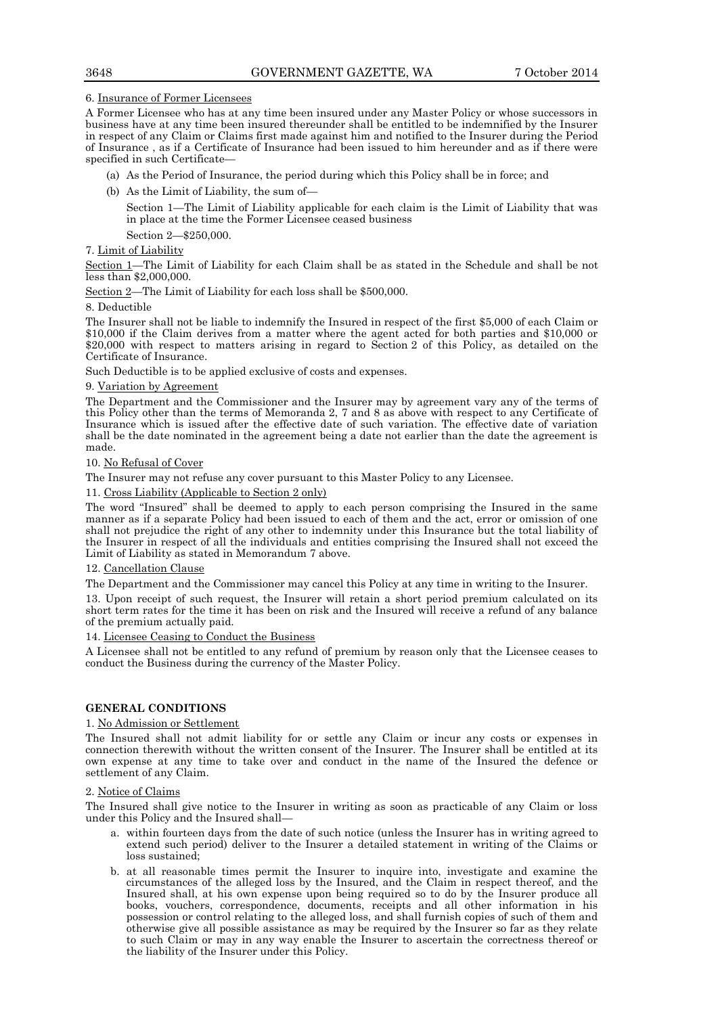## 6. Insurance of Former Licensees

A Former Licensee who has at any time been insured under any Master Policy or whose successors in business have at any time been insured thereunder shall be entitled to be indemnified by the Insurer in respect of any Claim or Claims first made against him and notified to the Insurer during the Period of Insurance , as if a Certificate of Insurance had been issued to him hereunder and as if there were specified in such Certificate—

- (a) As the Period of Insurance, the period during which this Policy shall be in force; and
- (b) As the Limit of Liability, the sum of—

Section 1—The Limit of Liability applicable for each claim is the Limit of Liability that was in place at the time the Former Licensee ceased business

Section 2—\$250,000.

## 7. Limit of Liability

Section 1—The Limit of Liability for each Claim shall be as stated in the Schedule and shall be not less than \$2,000,000.

Section 2—The Limit of Liability for each loss shall be \$500,000.

## 8. Deductible

The Insurer shall not be liable to indemnify the Insured in respect of the first \$5,000 of each Claim or \$10,000 if the Claim derives from a matter where the agent acted for both parties and \$10,000 or \$20,000 with respect to matters arising in regard to Section 2 of this Policy, as detailed on the Certificate of Insurance.

Such Deductible is to be applied exclusive of costs and expenses.

## 9. Variation by Agreement

The Department and the Commissioner and the Insurer may by agreement vary any of the terms of this Policy other than the terms of Memoranda 2, 7 and 8 as above with respect to any Certificate of Insurance which is issued after the effective date of such variation. The effective date of variation shall be the date nominated in the agreement being a date not earlier than the date the agreement is made.

## 10. No Refusal of Cover

The Insurer may not refuse any cover pursuant to this Master Policy to any Licensee.

## 11. Cross Liability (Applicable to Section 2 only)

The word "Insured" shall be deemed to apply to each person comprising the Insured in the same manner as if a separate Policy had been issued to each of them and the act, error or omission of one shall not prejudice the right of any other to indemnity under this Insurance but the total liability of the Insurer in respect of all the individuals and entities comprising the Insured shall not exceed the Limit of Liability as stated in Memorandum 7 above.

## 12. Cancellation Clause

The Department and the Commissioner may cancel this Policy at any time in writing to the Insurer.

13. Upon receipt of such request, the Insurer will retain a short period premium calculated on its short term rates for the time it has been on risk and the Insured will receive a refund of any balance of the premium actually paid.

## 14. Licensee Ceasing to Conduct the Business

A Licensee shall not be entitled to any refund of premium by reason only that the Licensee ceases to conduct the Business during the currency of the Master Policy.

# **GENERAL CONDITIONS**

## 1. No Admission or Settlement

The Insured shall not admit liability for or settle any Claim or incur any costs or expenses in connection therewith without the written consent of the Insurer. The Insurer shall be entitled at its own expense at any time to take over and conduct in the name of the Insured the defence or settlement of any Claim.

## 2. Notice of Claims

The Insured shall give notice to the Insurer in writing as soon as practicable of any Claim or loss under this Policy and the Insured shall—

- a. within fourteen days from the date of such notice (unless the Insurer has in writing agreed to extend such period) deliver to the Insurer a detailed statement in writing of the Claims or loss sustained;
- b. at all reasonable times permit the Insurer to inquire into, investigate and examine the circumstances of the alleged loss by the Insured, and the Claim in respect thereof, and the Insured shall, at his own expense upon being required so to do by the Insurer produce all books, vouchers, correspondence, documents, receipts and all other information in his possession or control relating to the alleged loss, and shall furnish copies of such of them and otherwise give all possible assistance as may be required by the Insurer so far as they relate to such Claim or may in any way enable the Insurer to ascertain the correctness thereof or the liability of the Insurer under this Policy.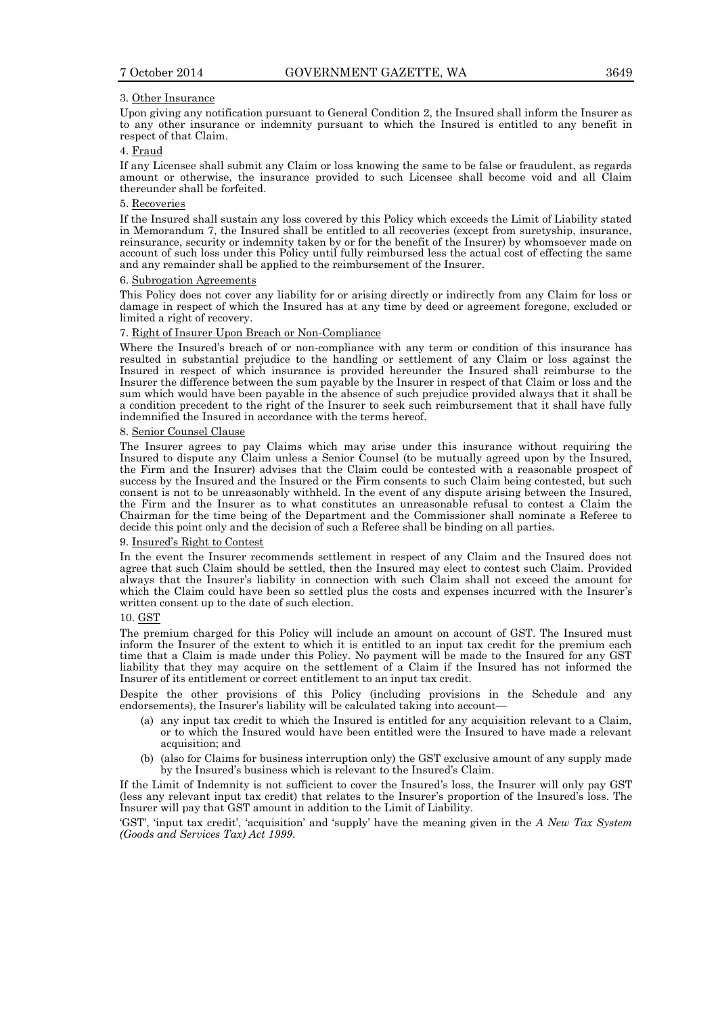#### 3. Other Insurance

Upon giving any notification pursuant to General Condition 2, the Insured shall inform the Insurer as to any other insurance or indemnity pursuant to which the Insured is entitled to any benefit in respect of that Claim.

## 4. Fraud

If any Licensee shall submit any Claim or loss knowing the same to be false or fraudulent, as regards amount or otherwise, the insurance provided to such Licensee shall become void and all Claim thereunder shall be forfeited.

## 5. Recoveries

If the Insured shall sustain any loss covered by this Policy which exceeds the Limit of Liability stated in Memorandum 7, the Insured shall be entitled to all recoveries (except from suretyship, insurance, reinsurance, security or indemnity taken by or for the benefit of the Insurer) by whomsoever made on account of such loss under this Policy until fully reimbursed less the actual cost of effecting the same and any remainder shall be applied to the reimbursement of the Insurer.

#### 6. Subrogation Agreements

This Policy does not cover any liability for or arising directly or indirectly from any Claim for loss or damage in respect of which the Insured has at any time by deed or agreement foregone, excluded or limited a right of recovery.

## 7. Right of Insurer Upon Breach or Non-Compliance

Where the Insured's breach of or non-compliance with any term or condition of this insurance has resulted in substantial prejudice to the handling or settlement of any Claim or loss against the Insured in respect of which insurance is provided hereunder the Insured shall reimburse to the Insurer the difference between the sum payable by the Insurer in respect of that Claim or loss and the sum which would have been payable in the absence of such prejudice provided always that it shall be a condition precedent to the right of the Insurer to seek such reimbursement that it shall have fully indemnified the Insured in accordance with the terms hereof.

#### 8. Senior Counsel Clause

The Insurer agrees to pay Claims which may arise under this insurance without requiring the Insured to dispute any Claim unless a Senior Counsel (to be mutually agreed upon by the Insured, the Firm and the Insurer) advises that the Claim could be contested with a reasonable prospect of success by the Insured and the Insured or the Firm consents to such Claim being contested, but such consent is not to be unreasonably withheld. In the event of any dispute arising between the Insured, the Firm and the Insurer as to what constitutes an unreasonable refusal to contest a Claim the Chairman for the time being of the Department and the Commissioner shall nominate a Referee to decide this point only and the decision of such a Referee shall be binding on all parties.

#### 9. Insured's Right to Contest

In the event the Insurer recommends settlement in respect of any Claim and the Insured does not agree that such Claim should be settled, then the Insured may elect to contest such Claim. Provided always that the Insurer's liability in connection with such Claim shall not exceed the amount for which the Claim could have been so settled plus the costs and expenses incurred with the Insurer's written consent up to the date of such election.

#### 10. GST

The premium charged for this Policy will include an amount on account of GST. The Insured must inform the Insurer of the extent to which it is entitled to an input tax credit for the premium each time that a Claim is made under this Policy. No payment will be made to the Insured for any GST liability that they may acquire on the settlement of a Claim if the Insured has not informed the Insurer of its entitlement or correct entitlement to an input tax credit.

Despite the other provisions of this Policy (including provisions in the Schedule and any endorsements), the Insurer's liability will be calculated taking into account—

- (a) any input tax credit to which the Insured is entitled for any acquisition relevant to a Claim, or to which the Insured would have been entitled were the Insured to have made a relevant acquisition; and
- (b) (also for Claims for business interruption only) the GST exclusive amount of any supply made by the Insured's business which is relevant to the Insured's Claim.

If the Limit of Indemnity is not sufficient to cover the Insured's loss, the Insurer will only pay GST (less any relevant input tax credit) that relates to the Insurer's proportion of the Insured's loss. The Insurer will pay that GST amount in addition to the Limit of Liability.

'GST', 'input tax credit', 'acquisition' and 'supply' have the meaning given in the *A New Tax System (Goods and Services Tax) Act 1999*.